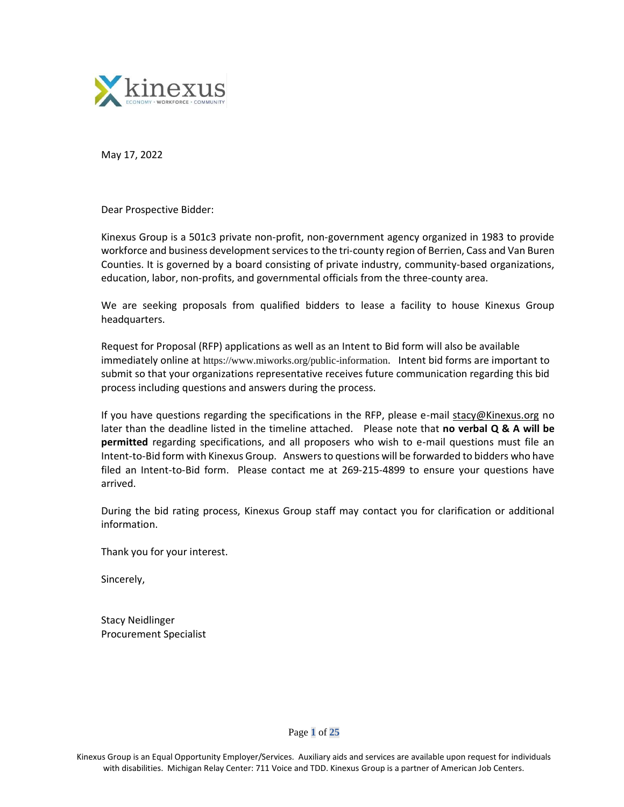

May 17, 2022

Dear Prospective Bidder:

Kinexus Group is a 501c3 private non-profit, non-government agency organized in 1983 to provide workforce and business development services to the tri-county region of Berrien, Cass and Van Buren Counties. It is governed by a board consisting of private industry, community-based organizations, education, labor, non-profits, and governmental officials from the three-county area.

We are seeking proposals from qualified bidders to lease a facility to house Kinexus Group headquarters.

Request for Proposal (RFP) applications as well as an Intent to Bid form will also be available immediately online at https://www.miworks.org/public-information. Intent bid forms are important to submit so that your organizations representative receives future communication regarding this bid process including questions and answers during the process.

If you have questions regarding the specifications in the RFP, please e-mail [stacy@Kinexus.org](mailto:stacy@Kinexus.org) no later than the deadline listed in the timeline attached. Please note that **no verbal Q & A will be permitted** regarding specifications, and all proposers who wish to e-mail questions must file an Intent-to-Bid form with Kinexus Group. Answers to questions will be forwarded to bidders who have filed an Intent-to-Bid form. Please contact me at 269-215-4899 to ensure your questions have arrived.

During the bid rating process, Kinexus Group staff may contact you for clarification or additional information.

Thank you for your interest.

Sincerely,

Stacy Neidlinger Procurement Specialist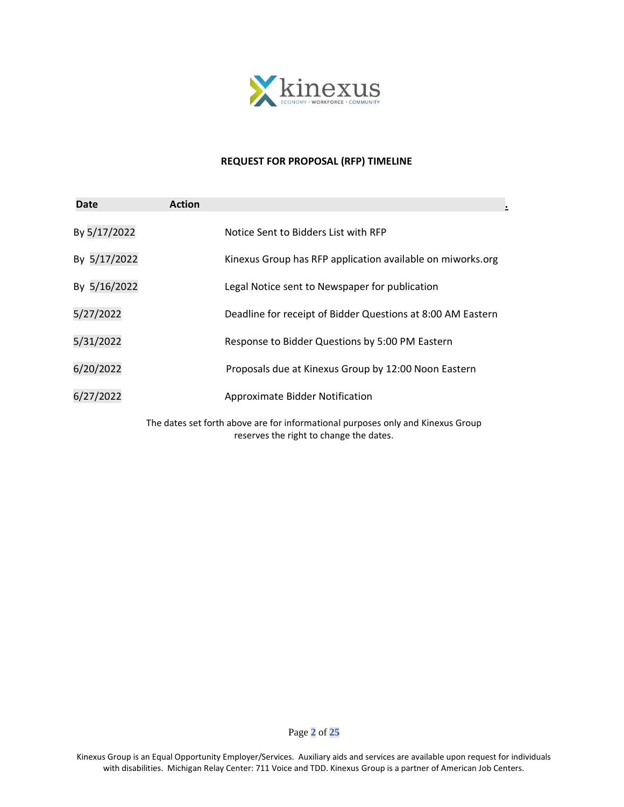

#### **REQUEST FOR PROPOSAL (RFP) TIMELINE**

| <b>Date</b>  | <b>Action</b> |                                                                                                                            |
|--------------|---------------|----------------------------------------------------------------------------------------------------------------------------|
| By 5/17/2022 |               | Notice Sent to Bidders List with RFP                                                                                       |
| By 5/17/2022 |               | Kinexus Group has RFP application available on miworks.org                                                                 |
| By 5/16/2022 |               | Legal Notice sent to Newspaper for publication                                                                             |
| 5/27/2022    |               | Deadline for receipt of Bidder Questions at 8:00 AM Eastern                                                                |
| 5/31/2022    |               | Response to Bidder Questions by 5:00 PM Eastern                                                                            |
| 6/20/2022    |               | Proposals due at Kinexus Group by 12:00 Noon Eastern                                                                       |
| 6/27/2022    |               | <b>Approximate Bidder Notification</b>                                                                                     |
|              |               | The dates set forth above are for informational purposes only and Kinexus Group<br>reserves the right to change the dates. |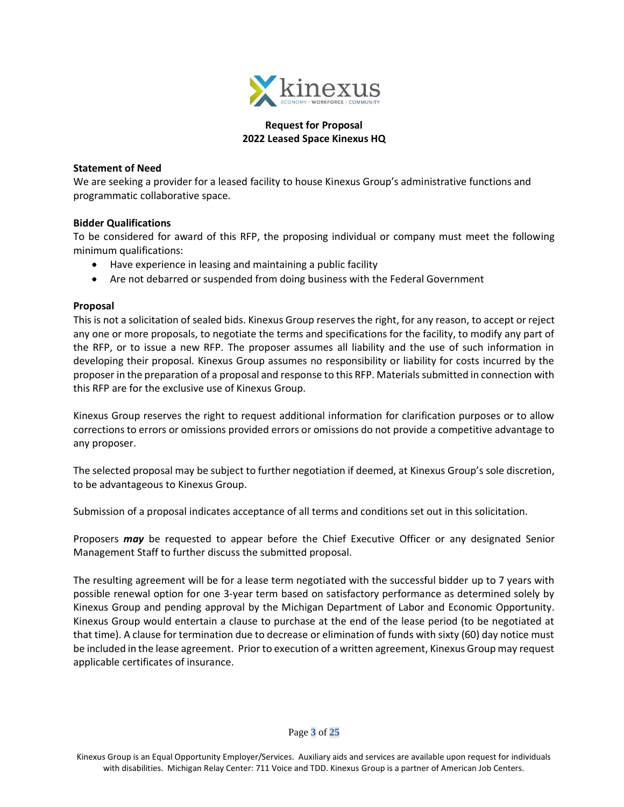

# **Request for Proposal 2022 Leased Space Kinexus HQ**

#### **Statement of Need**

We are seeking a provider for a leased facility to house Kinexus Group's administrative functions and programmatic collaborative space.

#### **Bidder Qualifications**

To be considered for award of this RFP, the proposing individual or company must meet the following minimum qualifications:

- Have experience in leasing and maintaining a public facility
- Are not debarred or suspended from doing business with the Federal Government

#### **Proposal**

This is not a solicitation of sealed bids. Kinexus Group reserves the right, for any reason, to accept or reject any one or more proposals, to negotiate the terms and specifications for the facility, to modify any part of the RFP, or to issue a new RFP. The proposer assumes all liability and the use of such information in developing their proposal. Kinexus Group assumes no responsibility or liability for costs incurred by the proposer in the preparation of a proposal and response to this RFP. Materials submitted in connection with this RFP are for the exclusive use of Kinexus Group.

Kinexus Group reserves the right to request additional information for clarification purposes or to allow corrections to errors or omissions provided errors or omissions do not provide a competitive advantage to any proposer.

The selected proposal may be subject to further negotiation if deemed, at Kinexus Group's sole discretion, to be advantageous to Kinexus Group.

Submission of a proposal indicates acceptance of all terms and conditions set out in this solicitation.

Proposers *may* be requested to appear before the Chief Executive Officer or any designated Senior Management Staff to further discuss the submitted proposal.

The resulting agreement will be for a lease term negotiated with the successful bidder up to 7 years with possible renewal option for one 3-year term based on satisfactory performance as determined solely by Kinexus Group and pending approval by the Michigan Department of Labor and Economic Opportunity. Kinexus Group would entertain a clause to purchase at the end of the lease period (to be negotiated at that time). A clause for termination due to decrease or elimination of funds with sixty (60) day notice must be included in the lease agreement. Prior to execution of a written agreement, Kinexus Group may request applicable certificates of insurance.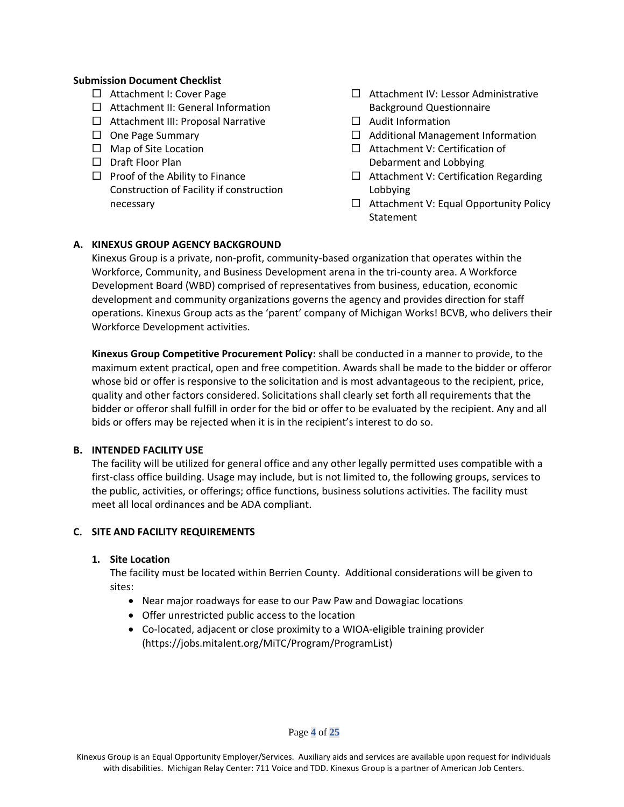### **Submission Document Checklist**

- □ Attachment I: Cover Page
- $\Box$  Attachment II: General Information
- $\Box$  Attachment III: Proposal Narrative
- $\Box$  One Page Summary
- $\Box$  Map of Site Location
- D Draft Floor Plan
- $\Box$  Proof of the Ability to Finance Construction of Facility if construction necessary
- $\Box$  Attachment IV: Lessor Administrative Background Questionnaire
- $\Box$  Audit Information
- $\Box$  Additional Management Information
- $\Box$  Attachment V: Certification of Debarment and Lobbying
- $\Box$  Attachment V: Certification Regarding Lobbying
- $\Box$  Attachment V: Equal Opportunity Policy Statement

### **A. KINEXUS GROUP AGENCY BACKGROUND**

Kinexus Group is a private, non-profit, community-based organization that operates within the Workforce, Community, and Business Development arena in the tri-county area. A Workforce Development Board (WBD) comprised of representatives from business, education, economic development and community organizations governs the agency and provides direction for staff operations. Kinexus Group acts as the 'parent' company of Michigan Works! BCVB, who delivers their Workforce Development activities.

**Kinexus Group Competitive Procurement Policy:** shall be conducted in a manner to provide, to the maximum extent practical, open and free competition. Awards shall be made to the bidder or offeror whose bid or offer is responsive to the solicitation and is most advantageous to the recipient, price, quality and other factors considered. Solicitations shall clearly set forth all requirements that the bidder or offeror shall fulfill in order for the bid or offer to be evaluated by the recipient. Any and all bids or offers may be rejected when it is in the recipient's interest to do so.

### **B. INTENDED FACILITY USE**

The facility will be utilized for general office and any other legally permitted uses compatible with a first-class office building. Usage may include, but is not limited to, the following groups, services to the public, activities, or offerings; office functions, business solutions activities. The facility must meet all local ordinances and be ADA compliant.

### **C. SITE AND FACILITY REQUIREMENTS**

#### **1. Site Location**

The facility must be located within Berrien County. Additional considerations will be given to sites:

- Near major roadways for ease to our Paw Paw and Dowagiac locations
- Offer unrestricted public access to the location
- Co-located, adjacent or close proximity to a WIOA-eligible training provider [\(https://jobs.mitalent.org/MiTC/Program/ProgramList\)](https://jobs.mitalent.org/MiTC/Program/ProgramList)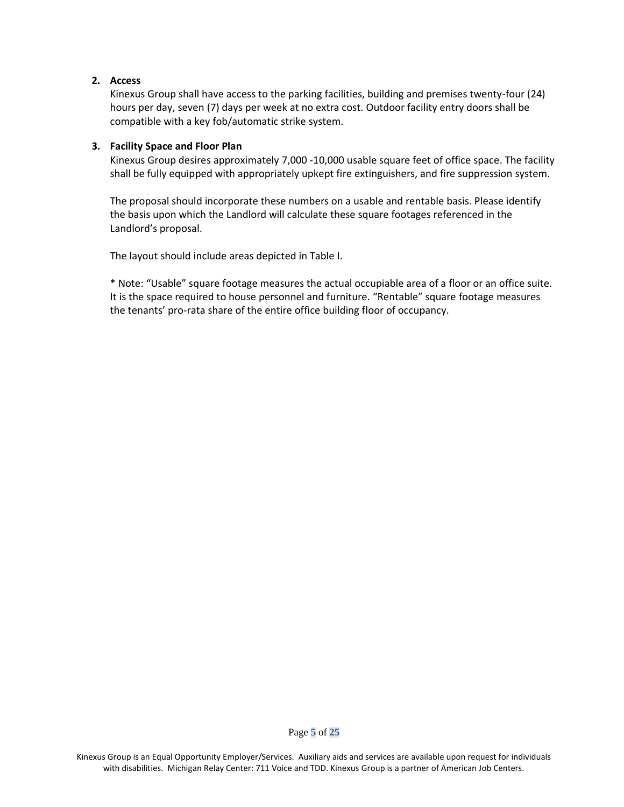# **2. Access**

Kinexus Group shall have access to the parking facilities, building and premises twenty-four (24) hours per day, seven (7) days per week at no extra cost. Outdoor facility entry doors shall be compatible with a key fob/automatic strike system.

# **3. Facility Space and Floor Plan**

Kinexus Group desires approximately 7,000 -10,000 usable square feet of office space. The facility shall be fully equipped with appropriately upkept fire extinguishers, and fire suppression system.

The proposal should incorporate these numbers on a usable and rentable basis. Please identify the basis upon which the Landlord will calculate these square footages referenced in the Landlord's proposal.

The layout should include areas depicted in Table I.

\* Note: "Usable" square footage measures the actual occupiable area of a floor or an office suite. It is the space required to house personnel and furniture. "Rentable" square footage measures the tenants' pro-rata share of the entire office building floor of occupancy.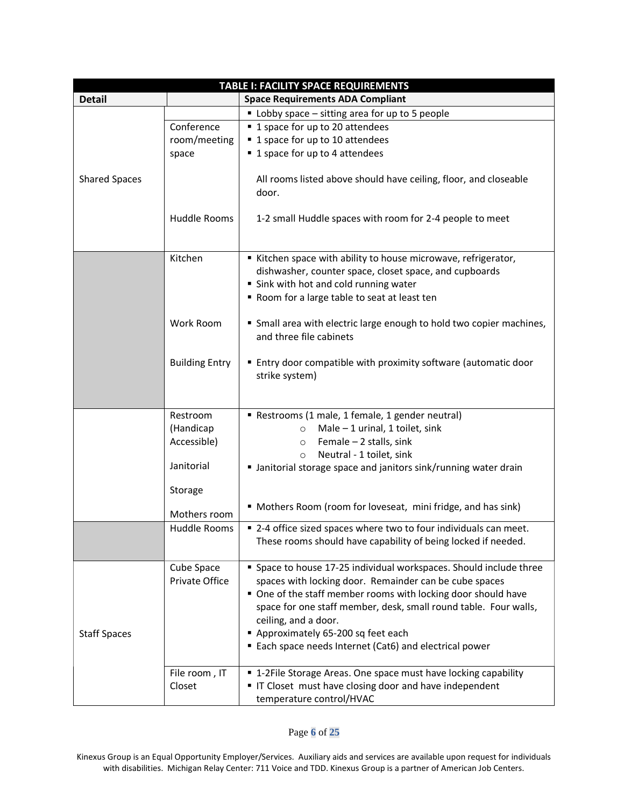| <b>TABLE I: FACILITY SPACE REQUIREMENTS</b> |                       |                                                                                                 |
|---------------------------------------------|-----------------------|-------------------------------------------------------------------------------------------------|
| <b>Detail</b>                               |                       | <b>Space Requirements ADA Compliant</b>                                                         |
|                                             |                       | Lobby space - sitting area for up to 5 people                                                   |
|                                             | Conference            | ■ 1 space for up to 20 attendees                                                                |
|                                             | room/meeting          | ■ 1 space for up to 10 attendees                                                                |
|                                             | space                 | ■ 1 space for up to 4 attendees                                                                 |
|                                             |                       |                                                                                                 |
| <b>Shared Spaces</b>                        |                       | All rooms listed above should have ceiling, floor, and closeable                                |
|                                             |                       | door.                                                                                           |
|                                             |                       |                                                                                                 |
|                                             | Huddle Rooms          | 1-2 small Huddle spaces with room for 2-4 people to meet                                        |
|                                             |                       |                                                                                                 |
|                                             |                       |                                                                                                 |
|                                             | Kitchen               | Kitchen space with ability to house microwave, refrigerator,                                    |
|                                             |                       | dishwasher, counter space, closet space, and cupboards                                          |
|                                             |                       | " Sink with hot and cold running water                                                          |
|                                             |                       | Room for a large table to seat at least ten                                                     |
|                                             | <b>Work Room</b>      |                                                                                                 |
|                                             |                       | " Small area with electric large enough to hold two copier machines,<br>and three file cabinets |
|                                             |                       |                                                                                                 |
|                                             | <b>Building Entry</b> | ■ Entry door compatible with proximity software (automatic door                                 |
|                                             |                       | strike system)                                                                                  |
|                                             |                       |                                                                                                 |
|                                             |                       |                                                                                                 |
|                                             | Restroom              | Restrooms (1 male, 1 female, 1 gender neutral)                                                  |
|                                             | (Handicap             | Male $-1$ urinal, 1 toilet, sink<br>$\circ$                                                     |
|                                             | Accessible)           | Female $-2$ stalls, sink<br>$\circ$                                                             |
|                                             |                       | Neutral - 1 toilet, sink<br>$\circ$                                                             |
|                                             | Janitorial            | If Janitorial storage space and janitors sink/running water drain                               |
|                                             |                       |                                                                                                 |
|                                             | Storage               |                                                                                                 |
|                                             |                       | " Mothers Room (room for loveseat, mini fridge, and has sink)                                   |
|                                             | Mothers room          |                                                                                                 |
|                                             | Huddle Rooms          | ■ 2-4 office sized spaces where two to four individuals can meet.                               |
|                                             |                       | These rooms should have capability of being locked if needed.                                   |
|                                             |                       |                                                                                                 |
|                                             | Cube Space            | " Space to house 17-25 individual workspaces. Should include three                              |
|                                             | Private Office        | spaces with locking door. Remainder can be cube spaces                                          |
|                                             |                       | One of the staff member rooms with locking door should have                                     |
|                                             |                       | space for one staff member, desk, small round table. Four walls,                                |
|                                             |                       | ceiling, and a door.                                                                            |
| <b>Staff Spaces</b>                         |                       | Approximately 65-200 sq feet each                                                               |
|                                             |                       | ■ Each space needs Internet (Cat6) and electrical power                                         |
|                                             | File room, IT         | ■ 1-2File Storage Areas. One space must have locking capability                                 |
|                                             | Closet                | " IT Closet must have closing door and have independent                                         |
|                                             |                       | temperature control/HVAC                                                                        |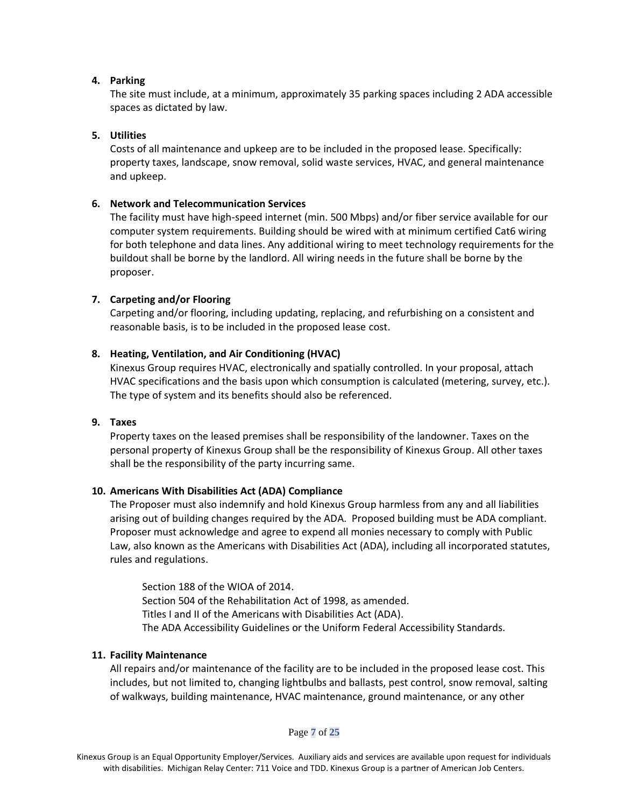### **4. Parking**

The site must include, at a minimum, approximately 35 parking spaces including 2 ADA accessible spaces as dictated by law.

### **5. Utilities**

Costs of all maintenance and upkeep are to be included in the proposed lease. Specifically: property taxes, landscape, snow removal, solid waste services, HVAC, and general maintenance and upkeep.

### **6. Network and Telecommunication Services**

The facility must have high-speed internet (min. 500 Mbps) and/or fiber service available for our computer system requirements. Building should be wired with at minimum certified Cat6 wiring for both telephone and data lines. Any additional wiring to meet technology requirements for the buildout shall be borne by the landlord. All wiring needs in the future shall be borne by the proposer.

### **7. Carpeting and/or Flooring**

Carpeting and/or flooring, including updating, replacing, and refurbishing on a consistent and reasonable basis, is to be included in the proposed lease cost.

### **8. Heating, Ventilation, and Air Conditioning (HVAC)**

Kinexus Group requires HVAC, electronically and spatially controlled. In your proposal, attach HVAC specifications and the basis upon which consumption is calculated (metering, survey, etc.). The type of system and its benefits should also be referenced.

#### **9. Taxes**

Property taxes on the leased premises shall be responsibility of the landowner. Taxes on the personal property of Kinexus Group shall be the responsibility of Kinexus Group. All other taxes shall be the responsibility of the party incurring same.

### **10. Americans With Disabilities Act (ADA) Compliance**

The Proposer must also indemnify and hold Kinexus Group harmless from any and all liabilities arising out of building changes required by the ADA. Proposed building must be ADA compliant. Proposer must acknowledge and agree to expend all monies necessary to comply with Public Law, also known as the Americans with Disabilities Act (ADA), including all incorporated statutes, rules and regulations.

Section 188 of the WIOA of 2014. Section 504 of the Rehabilitation Act of 1998, as amended. Titles I and II of the Americans with Disabilities Act (ADA). The ADA Accessibility Guidelines or the Uniform Federal Accessibility Standards.

### **11. Facility Maintenance**

All repairs and/or maintenance of the facility are to be included in the proposed lease cost. This includes, but not limited to, changing lightbulbs and ballasts, pest control, snow removal, salting of walkways, building maintenance, HVAC maintenance, ground maintenance, or any other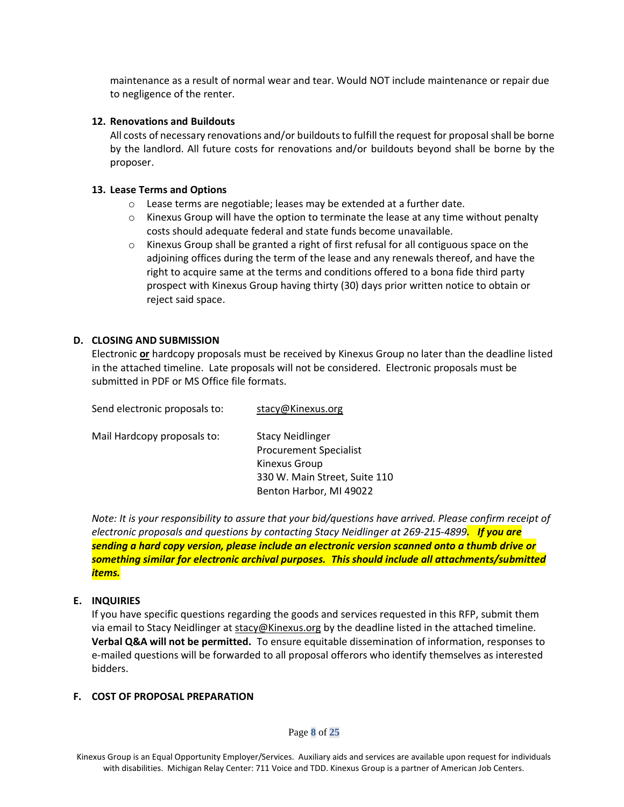maintenance as a result of normal wear and tear. Would NOT include maintenance or repair due to negligence of the renter.

#### **12. Renovations and Buildouts**

All costs of necessary renovations and/or buildouts to fulfill the request for proposal shall be borne by the landlord. All future costs for renovations and/or buildouts beyond shall be borne by the proposer.

### **13. Lease Terms and Options**

- $\circ$  Lease terms are negotiable; leases may be extended at a further date.
- $\circ$  Kinexus Group will have the option to terminate the lease at any time without penalty costs should adequate federal and state funds become unavailable.
- $\circ$  Kinexus Group shall be granted a right of first refusal for all contiguous space on the adjoining offices during the term of the lease and any renewals thereof, and have the right to acquire same at the terms and conditions offered to a bona fide third party prospect with Kinexus Group having thirty (30) days prior written notice to obtain or reject said space.

#### **D. CLOSING AND SUBMISSION**

Electronic **or** hardcopy proposals must be received by Kinexus Group no later than the deadline listed in the attached timeline. Late proposals will not be considered. Electronic proposals must be submitted in PDF or MS Office file formats.

| Send electronic proposals to: | stacy@Kinexus.org             |
|-------------------------------|-------------------------------|
| Mail Hardcopy proposals to:   | <b>Stacy Neidlinger</b>       |
|                               | <b>Procurement Specialist</b> |
|                               | Kinexus Group                 |
|                               | 330 W. Main Street, Suite 110 |
|                               | Benton Harbor, MI 49022       |

*Note: It is your responsibility to assure that your bid/questions have arrived. Please confirm receipt of electronic proposals and questions by contacting Stacy Neidlinger at 269-215-4899. If you are sending a hard copy version, please include an electronic version scanned onto a thumb drive or something similar for electronic archival purposes. This should include all attachments/submitted items.*

### **E. INQUIRIES**

If you have specific questions regarding the goods and services requested in this RFP, submit them via email to Stacy Neidlinger at [stacy@Kinexus.org](mailto:stacy@Kinexus.org) by the deadline listed in the attached timeline. **Verbal Q&A will not be permitted.** To ensure equitable dissemination of information, responses to e-mailed questions will be forwarded to all proposal offerors who identify themselves as interested bidders.

#### **F. COST OF PROPOSAL PREPARATION**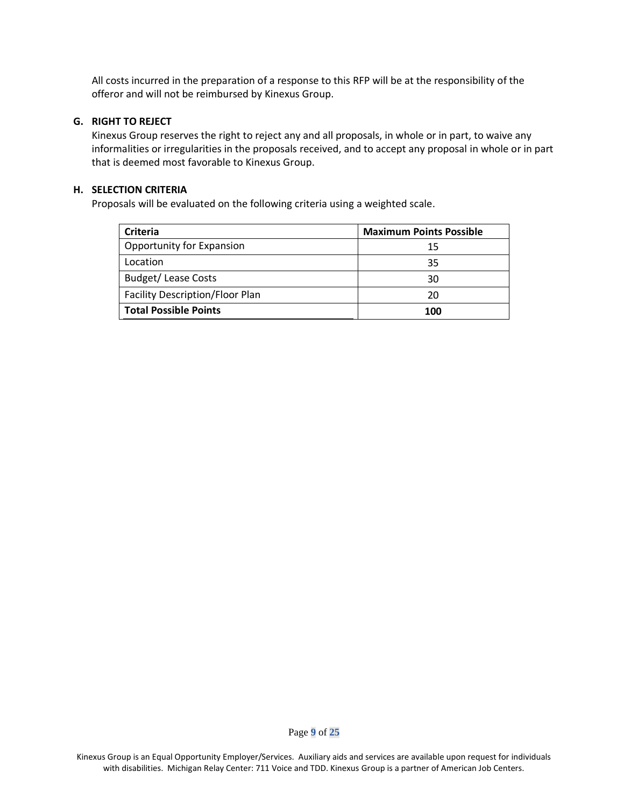All costs incurred in the preparation of a response to this RFP will be at the responsibility of the offeror and will not be reimbursed by Kinexus Group.

# **G. RIGHT TO REJECT**

Kinexus Group reserves the right to reject any and all proposals, in whole or in part, to waive any informalities or irregularities in the proposals received, and to accept any proposal in whole or in part that is deemed most favorable to Kinexus Group.

### **H. SELECTION CRITERIA**

Proposals will be evaluated on the following criteria using a weighted scale.

| <b>Criteria</b>                        | <b>Maximum Points Possible</b> |
|----------------------------------------|--------------------------------|
| Opportunity for Expansion              | 15                             |
| Location                               | 35                             |
| <b>Budget/Lease Costs</b>              | 30                             |
| <b>Facility Description/Floor Plan</b> | 20                             |
| <b>Total Possible Points</b>           | 100                            |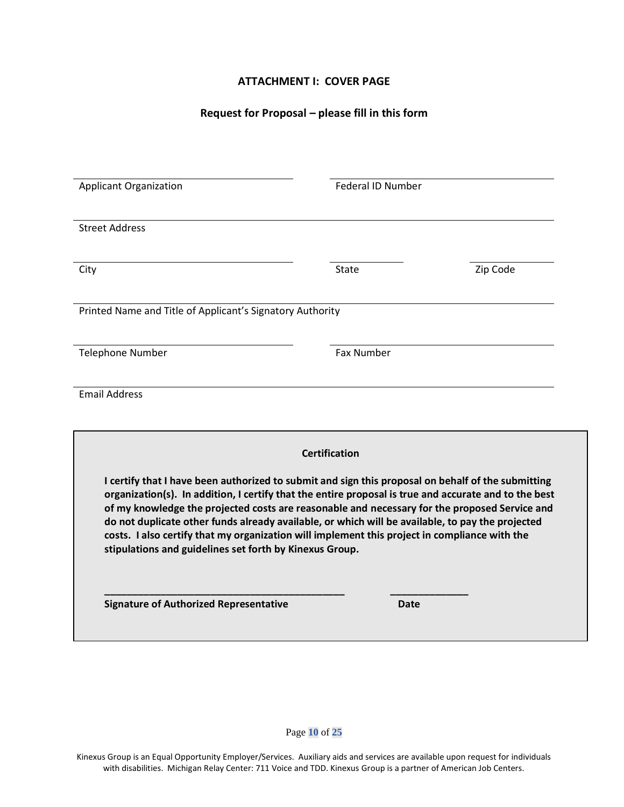# **ATTACHMENT I: COVER PAGE**

# **Request for Proposal – please fill in this form**

| <b>Applicant Organization</b>                                                                                                                            | <b>Federal ID Number</b>                                                                           |          |
|----------------------------------------------------------------------------------------------------------------------------------------------------------|----------------------------------------------------------------------------------------------------|----------|
|                                                                                                                                                          |                                                                                                    |          |
| <b>Street Address</b>                                                                                                                                    |                                                                                                    |          |
|                                                                                                                                                          |                                                                                                    |          |
| City                                                                                                                                                     | <b>State</b>                                                                                       | Zip Code |
|                                                                                                                                                          |                                                                                                    |          |
| Printed Name and Title of Applicant's Signatory Authority                                                                                                |                                                                                                    |          |
|                                                                                                                                                          |                                                                                                    |          |
| Telephone Number                                                                                                                                         | <b>Fax Number</b>                                                                                  |          |
| <b>Email Address</b>                                                                                                                                     |                                                                                                    |          |
|                                                                                                                                                          |                                                                                                    |          |
|                                                                                                                                                          |                                                                                                    |          |
|                                                                                                                                                          | <b>Certification</b>                                                                               |          |
|                                                                                                                                                          |                                                                                                    |          |
| organization(s). In addition, I certify that the entire proposal is true and accurate and to the best                                                    | I certify that I have been authorized to submit and sign this proposal on behalf of the submitting |          |
| of my knowledge the projected costs are reasonable and necessary for the proposed Service and                                                            |                                                                                                    |          |
|                                                                                                                                                          | do not duplicate other funds already available, or which will be available, to pay the projected   |          |
| costs. I also certify that my organization will implement this project in compliance with the<br>stipulations and guidelines set forth by Kinexus Group. |                                                                                                    |          |
|                                                                                                                                                          |                                                                                                    |          |
|                                                                                                                                                          |                                                                                                    |          |
| <b>Signature of Authorized Representative</b>                                                                                                            | <b>Date</b>                                                                                        |          |
|                                                                                                                                                          |                                                                                                    |          |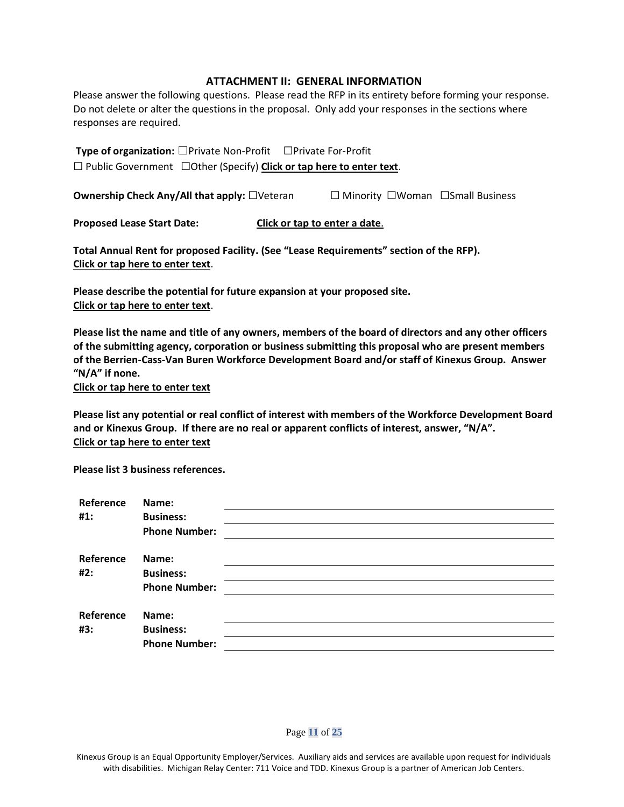#### **ATTACHMENT II: GENERAL INFORMATION**

Please answer the following questions. Please read the RFP in its entirety before forming your response. Do not delete or alter the questions in the proposal. Only add your responses in the sections where responses are required.

**Type of organization:** ☐Private Non-Profit ☐Private For-Profit ☐ Public Government ☐Other (Specify) **Click or tap here to enter text**.

**Ownership Check Any/All that apply:** □Veteran □ Minority □Woman □Small Business

**Proposed Lease Start Date: Click or tap to enter a date**.

**Total Annual Rent for proposed Facility. (See "Lease Requirements" section of the RFP). Click or tap here to enter text**.

**Please describe the potential for future expansion at your proposed site. Click or tap here to enter text**.

**Please list the name and title of any owners, members of the board of directors and any other officers of the submitting agency, corporation or business submitting this proposal who are present members of the Berrien-Cass-Van Buren Workforce Development Board and/or staff of Kinexus Group. Answer "N/A" if none.** 

**Click or tap here to enter text**

**Please list any potential or real conflict of interest with members of the Workforce Development Board and or Kinexus Group. If there are no real or apparent conflicts of interest, answer, "N/A". Click or tap here to enter text**

**Please list 3 business references.**

| Reference<br>#1: | Name:<br><b>Business:</b> |  |
|------------------|---------------------------|--|
|                  | <b>Phone Number:</b>      |  |
| Reference        | Name:                     |  |
| #2:              | <b>Business:</b>          |  |
|                  | <b>Phone Number:</b>      |  |
| Reference        | Name:                     |  |
| #3:              | <b>Business:</b>          |  |
|                  | <b>Phone Number:</b>      |  |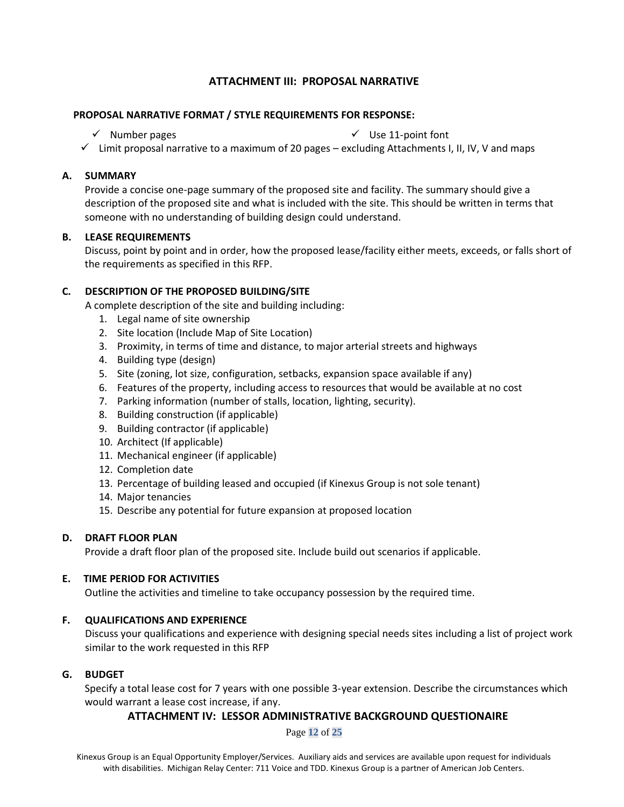# **ATTACHMENT III: PROPOSAL NARRATIVE**

# **PROPOSAL NARRATIVE FORMAT / STYLE REQUIREMENTS FOR RESPONSE:**

 $\checkmark$  Number pages  $\checkmark$  Use 11-point font

 $\checkmark$  Limit proposal narrative to a maximum of 20 pages – excluding Attachments I, II, IV, V and maps

# **A. SUMMARY**

Provide a concise one-page summary of the proposed site and facility. The summary should give a description of the proposed site and what is included with the site. This should be written in terms that someone with no understanding of building design could understand.

### **B. LEASE REQUIREMENTS**

Discuss, point by point and in order, how the proposed lease/facility either meets, exceeds, or falls short of the requirements as specified in this RFP.

# **C. DESCRIPTION OF THE PROPOSED BUILDING/SITE**

A complete description of the site and building including:

- 1. Legal name of site ownership
- 2. Site location (Include Map of Site Location)
- 3. Proximity, in terms of time and distance, to major arterial streets and highways
- 4. Building type (design)
- 5. Site (zoning, lot size, configuration, setbacks, expansion space available if any)
- 6. Features of the property, including access to resources that would be available at no cost
- 7. Parking information (number of stalls, location, lighting, security).
- 8. Building construction (if applicable)
- 9. Building contractor (if applicable)
- 10. Architect (If applicable)
- 11. Mechanical engineer (if applicable)
- 12. Completion date
- 13. Percentage of building leased and occupied (if Kinexus Group is not sole tenant)
- 14. Major tenancies
- 15. Describe any potential for future expansion at proposed location

### **D. DRAFT FLOOR PLAN**

Provide a draft floor plan of the proposed site. Include build out scenarios if applicable.

### **E. TIME PERIOD FOR ACTIVITIES**

Outline the activities and timeline to take occupancy possession by the required time.

### **F. QUALIFICATIONS AND EXPERIENCE**

Discuss your qualifications and experience with designing special needs sites including a list of project work similar to the work requested in this RFP

### **G. BUDGET**

Specify a total lease cost for 7 years with one possible 3-year extension. Describe the circumstances which would warrant a lease cost increase, if any.

# **ATTACHMENT IV: LESSOR ADMINISTRATIVE BACKGROUND QUESTIONAIRE**

Page **12** of **25**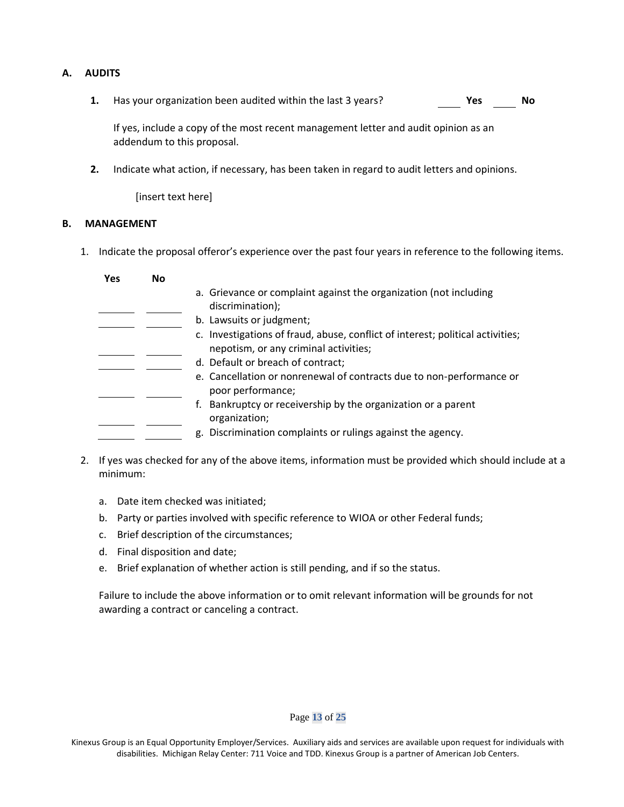### **A. AUDITS**

**1.** Has your organization been audited within the last 3 years? **Yes No**

If yes, include a copy of the most recent management letter and audit opinion as an addendum to this proposal.

**2.** Indicate what action, if necessary, has been taken in regard to audit letters and opinions.

[insert text here]

### **B. MANAGEMENT**

1. Indicate the proposal offeror's experience over the past four years in reference to the following items.

| Yes | <b>No</b> |                                                                                                                         |
|-----|-----------|-------------------------------------------------------------------------------------------------------------------------|
|     |           | a. Grievance or complaint against the organization (not including<br>discrimination);                                   |
|     |           | b. Lawsuits or judgment;                                                                                                |
|     |           | c. Investigations of fraud, abuse, conflict of interest; political activities;<br>nepotism, or any criminal activities; |
|     |           | d. Default or breach of contract;                                                                                       |
|     |           | e. Cancellation or nonrenewal of contracts due to non-performance or<br>poor performance;                               |
|     |           | f. Bankruptcy or receivership by the organization or a parent<br>organization;                                          |
|     |           | g. Discrimination complaints or rulings against the agency.                                                             |

- 2. If yes was checked for any of the above items, information must be provided which should include at a minimum:
	- a. Date item checked was initiated;
	- b. Party or parties involved with specific reference to WIOA or other Federal funds;
	- c. Brief description of the circumstances;
	- d. Final disposition and date;
	- e. Brief explanation of whether action is still pending, and if so the status.

Failure to include the above information or to omit relevant information will be grounds for not awarding a contract or canceling a contract.

#### Page **13** of **25**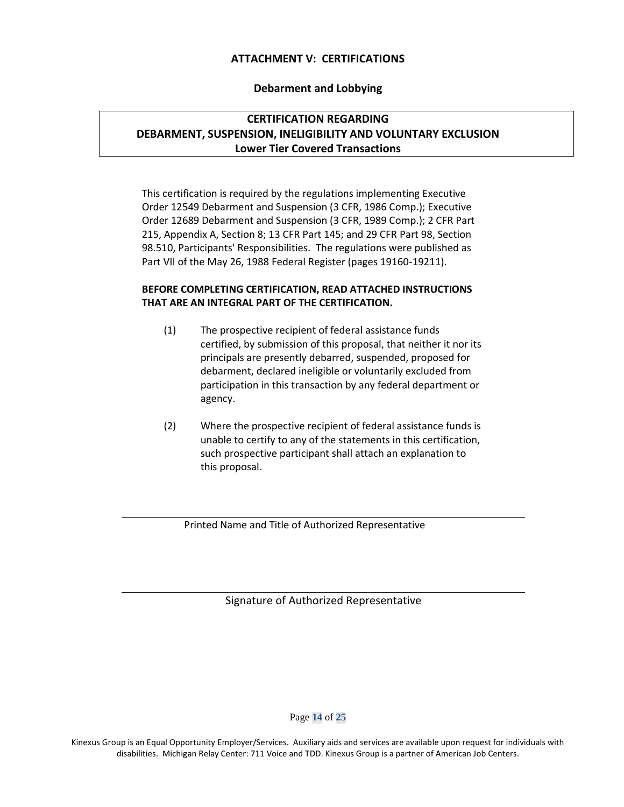# **ATTACHMENT V: CERTIFICATIONS**

### **Debarment and Lobbying**

# **CERTIFICATION REGARDING DEBARMENT, SUSPENSION, INELIGIBILITY AND VOLUNTARY EXCLUSION Lower Tier Covered Transactions**

This certification is required by the regulations implementing Executive Order 12549 Debarment and Suspension (3 CFR, 1986 Comp.); Executive Order 12689 Debarment and Suspension (3 CFR, 1989 Comp.); 2 CFR Part 215, Appendix A, Section 8; 13 CFR Part 145; and 29 CFR Part 98, Section 98.510, Participants' Responsibilities. The regulations were published as Part VII of the May 26, 1988 Federal Register (pages 19160-19211).

### **BEFORE COMPLETING CERTIFICATION, READ ATTACHED INSTRUCTIONS THAT ARE AN INTEGRAL PART OF THE CERTIFICATION.**

- (1) The prospective recipient of federal assistance funds certified, by submission of this proposal, that neither it nor its principals are presently debarred, suspended, proposed for debarment, declared ineligible or voluntarily excluded from participation in this transaction by any federal department or agency.
- (2) Where the prospective recipient of federal assistance funds is unable to certify to any of the statements in this certification, such prospective participant shall attach an explanation to this proposal.

Printed Name and Title of Authorized Representative

Signature of Authorized Representative

Page **14** of **25**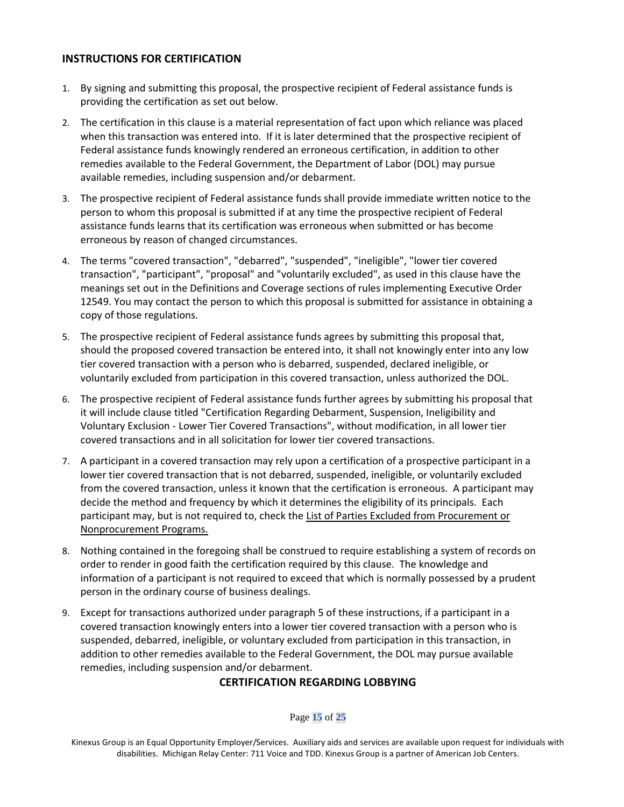# **INSTRUCTIONS FOR CERTIFICATION**

- 1. By signing and submitting this proposal, the prospective recipient of Federal assistance funds is providing the certification as set out below.
- 2. The certification in this clause is a material representation of fact upon which reliance was placed when this transaction was entered into. If it is later determined that the prospective recipient of Federal assistance funds knowingly rendered an erroneous certification, in addition to other remedies available to the Federal Government, the Department of Labor (DOL) may pursue available remedies, including suspension and/or debarment.
- 3. The prospective recipient of Federal assistance funds shall provide immediate written notice to the person to whom this proposal is submitted if at any time the prospective recipient of Federal assistance funds learns that its certification was erroneous when submitted or has become erroneous by reason of changed circumstances.
- 4. The terms "covered transaction", "debarred", "suspended", "ineligible", "lower tier covered transaction", "participant", "proposal" and "voluntarily excluded", as used in this clause have the meanings set out in the Definitions and Coverage sections of rules implementing Executive Order 12549. You may contact the person to which this proposal is submitted for assistance in obtaining a copy of those regulations.
- 5. The prospective recipient of Federal assistance funds agrees by submitting this proposal that, should the proposed covered transaction be entered into, it shall not knowingly enter into any low tier covered transaction with a person who is debarred, suspended, declared ineligible, or voluntarily excluded from participation in this covered transaction, unless authorized the DOL.
- 6. The prospective recipient of Federal assistance funds further agrees by submitting his proposal that it will include clause titled "Certification Regarding Debarment, Suspension, Ineligibility and Voluntary Exclusion - Lower Tier Covered Transactions", without modification, in all lower tier covered transactions and in all solicitation for lower tier covered transactions.
- 7. A participant in a covered transaction may rely upon a certification of a prospective participant in a lower tier covered transaction that is not debarred, suspended, ineligible, or voluntarily excluded from the covered transaction, unless it known that the certification is erroneous. A participant may decide the method and frequency by which it determines the eligibility of its principals. Each participant may, but is not required to, check the List of Parties Excluded from Procurement or Nonprocurement Programs.
- 8. Nothing contained in the foregoing shall be construed to require establishing a system of records on order to render in good faith the certification required by this clause. The knowledge and information of a participant is not required to exceed that which is normally possessed by a prudent person in the ordinary course of business dealings.
- 9. Except for transactions authorized under paragraph 5 of these instructions, if a participant in a covered transaction knowingly enters into a lower tier covered transaction with a person who is suspended, debarred, ineligible, or voluntary excluded from participation in this transaction, in addition to other remedies available to the Federal Government, the DOL may pursue available remedies, including suspension and/or debarment.

### **CERTIFICATION REGARDING LOBBYING**

Page **15** of **25**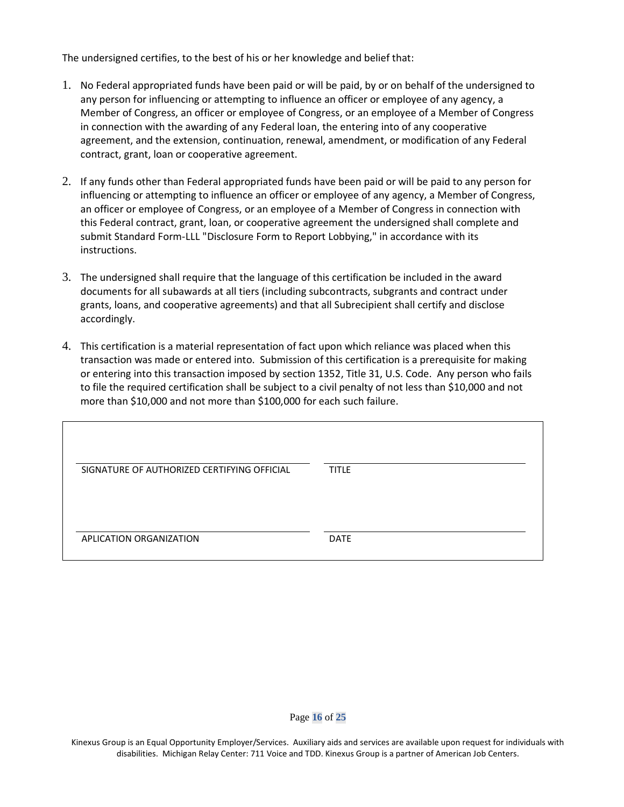The undersigned certifies, to the best of his or her knowledge and belief that:

- 1. No Federal appropriated funds have been paid or will be paid, by or on behalf of the undersigned to any person for influencing or attempting to influence an officer or employee of any agency, a Member of Congress, an officer or employee of Congress, or an employee of a Member of Congress in connection with the awarding of any Federal loan, the entering into of any cooperative agreement, and the extension, continuation, renewal, amendment, or modification of any Federal contract, grant, loan or cooperative agreement.
- 2. If any funds other than Federal appropriated funds have been paid or will be paid to any person for influencing or attempting to influence an officer or employee of any agency, a Member of Congress, an officer or employee of Congress, or an employee of a Member of Congress in connection with this Federal contract, grant, loan, or cooperative agreement the undersigned shall complete and submit Standard Form-LLL "Disclosure Form to Report Lobbying," in accordance with its instructions.
- 3. The undersigned shall require that the language of this certification be included in the award documents for all subawards at all tiers (including subcontracts, subgrants and contract under grants, loans, and cooperative agreements) and that all Subrecipient shall certify and disclose accordingly.
- 4. This certification is a material representation of fact upon which reliance was placed when this transaction was made or entered into. Submission of this certification is a prerequisite for making or entering into this transaction imposed by section 1352, Title 31, U.S. Code. Any person who fails to file the required certification shall be subject to a civil penalty of not less than \$10,000 and not more than \$10,000 and not more than \$100,000 for each such failure.

| SIGNATURE OF AUTHORIZED CERTIFYING OFFICIAL | <b>TITLE</b> |
|---------------------------------------------|--------------|
|                                             |              |
|                                             |              |
|                                             |              |
| APLICATION ORGANIZATION                     | <b>DATE</b>  |
|                                             |              |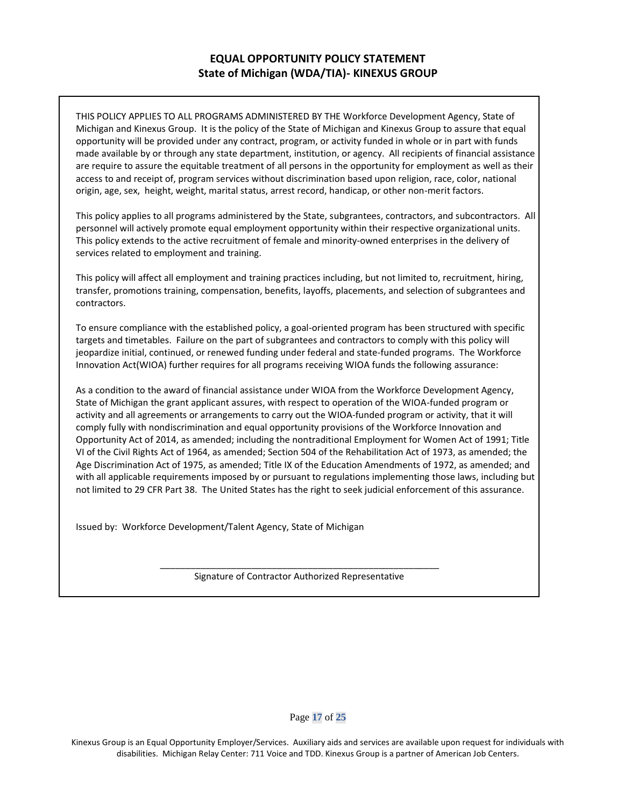# **EQUAL OPPORTUNITY POLICY STATEMENT State of Michigan (WDA/TIA)- KINEXUS GROUP**

THIS POLICY APPLIES TO ALL PROGRAMS ADMINISTERED BY THE Workforce Development Agency, State of Michigan and Kinexus Group. It is the policy of the State of Michigan and Kinexus Group to assure that equal opportunity will be provided under any contract, program, or activity funded in whole or in part with funds made available by or through any state department, institution, or agency. All recipients of financial assistance are require to assure the equitable treatment of all persons in the opportunity for employment as well as their access to and receipt of, program services without discrimination based upon religion, race, color, national origin, age, sex, height, weight, marital status, arrest record, handicap, or other non-merit factors.

This policy applies to all programs administered by the State, subgrantees, contractors, and subcontractors. All personnel will actively promote equal employment opportunity within their respective organizational units. This policy extends to the active recruitment of female and minority-owned enterprises in the delivery of services related to employment and training.

This policy will affect all employment and training practices including, but not limited to, recruitment, hiring, transfer, promotions training, compensation, benefits, layoffs, placements, and selection of subgrantees and contractors.

To ensure compliance with the established policy, a goal-oriented program has been structured with specific targets and timetables. Failure on the part of subgrantees and contractors to comply with this policy will jeopardize initial, continued, or renewed funding under federal and state-funded programs. The Workforce Innovation Act(WIOA) further requires for all programs receiving WIOA funds the following assurance:

As a condition to the award of financial assistance under WIOA from the Workforce Development Agency, State of Michigan the grant applicant assures, with respect to operation of the WIOA-funded program or activity and all agreements or arrangements to carry out the WIOA-funded program or activity, that it will comply fully with nondiscrimination and equal opportunity provisions of the Workforce Innovation and Opportunity Act of 2014, as amended; including the nontraditional Employment for Women Act of 1991; Title VI of the Civil Rights Act of 1964, as amended; Section 504 of the Rehabilitation Act of 1973, as amended; the Age Discrimination Act of 1975, as amended; Title IX of the Education Amendments of 1972, as amended; and with all applicable requirements imposed by or pursuant to regulations implementing those laws, including but not limited to 29 CFR Part 38. The United States has the right to seek judicial enforcement of this assurance.

Issued by: Workforce Development/Talent Agency, State of Michigan

\_\_\_\_\_\_\_\_\_\_\_\_\_\_\_\_\_\_\_\_\_\_\_\_\_\_\_\_\_\_\_\_\_\_\_\_\_\_\_\_\_\_\_\_\_\_\_\_\_\_\_\_\_\_\_ Signature of Contractor Authorized Representative

Page **17** of **25**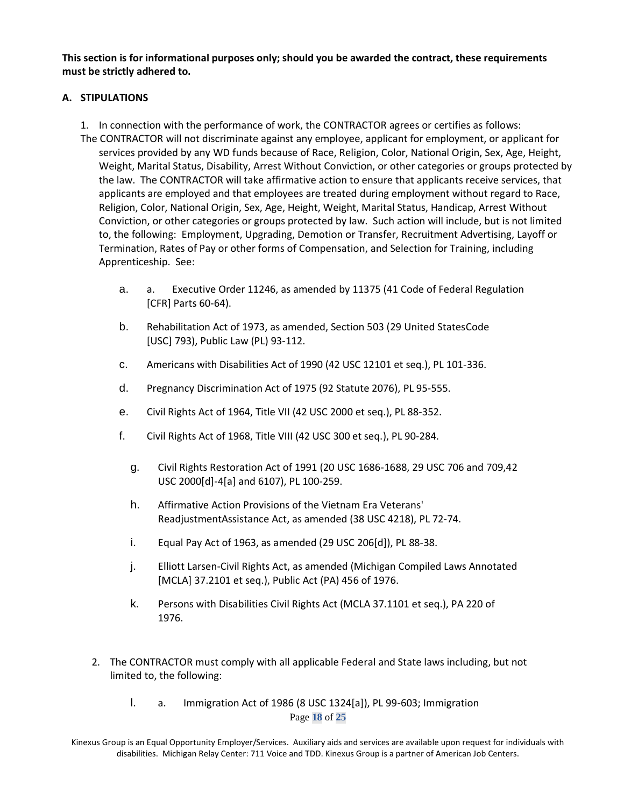**This section is for informational purposes only; should you be awarded the contract, these requirements must be strictly adhered to.** 

# **A. STIPULATIONS**

- 1. In connection with the performance of work, the CONTRACTOR agrees or certifies as follows:
- The CONTRACTOR will not discriminate against any employee, applicant for employment, or applicant for services provided by any WD funds because of Race, Religion, Color, National Origin, Sex, Age, Height, Weight, Marital Status, Disability, Arrest Without Conviction, or other categories or groups protected by the law. The CONTRACTOR will take affirmative action to ensure that applicants receive services, that applicants are employed and that employees are treated during employment without regard to Race, Religion, Color, National Origin, Sex, Age, Height, Weight, Marital Status, Handicap, Arrest Without Conviction, or other categories or groups protected by law. Such action will include, but is not limited to, the following: Employment, Upgrading, Demotion or Transfer, Recruitment Advertising, Layoff or Termination, Rates of Pay or other forms of Compensation, and Selection for Training, including Apprenticeship. See:
	- a. a. Executive Order 11246, as amended by 11375 (41 Code of Federal Regulation [CFR] Parts 60-64).
	- b. Rehabilitation Act of 1973, as amended, Section 503 (29 United StatesCode [USC] 793), Public Law (PL) 93-112.
	- c. Americans with Disabilities Act of 1990 (42 USC 12101 et seq.), PL 101-336.
	- d. Pregnancy Discrimination Act of 1975 (92 Statute 2076), PL 95-555.
	- e. Civil Rights Act of 1964, Title VII (42 USC 2000 et seq.), PL 88-352.
	- f. Civil Rights Act of 1968, Title VIII (42 USC 300 et seq.), PL 90-284.
		- g. Civil Rights Restoration Act of 1991 (20 USC 1686-1688, 29 USC 706 and 709,42 USC 2000[d]-4[a] and 6107), PL 100-259.
		- h. Affirmative Action Provisions of the Vietnam Era Veterans' ReadjustmentAssistance Act, as amended (38 USC 4218), PL 72-74.
		- i. Equal Pay Act of 1963, as amended (29 USC 206[d]), PL 88-38.
		- j. Elliott Larsen-Civil Rights Act, as amended (Michigan Compiled Laws Annotated [MCLA] 37.2101 et seq.), Public Act (PA) 456 of 1976.
		- k. Persons with Disabilities Civil Rights Act (MCLA 37.1101 et seq.), PA 220 of 1976.
	- 2. The CONTRACTOR must comply with all applicable Federal and State laws including, but not limited to, the following:
		- Page **18** of **25** l. a. Immigration Act of 1986 (8 USC 1324[a]), PL 99-603; Immigration

Kinexus Group is an Equal Opportunity Employer/Services. Auxiliary aids and services are available upon request for individuals with disabilities. Michigan Relay Center: 711 Voice and TDD. Kinexus Group is a partner of American Job Centers.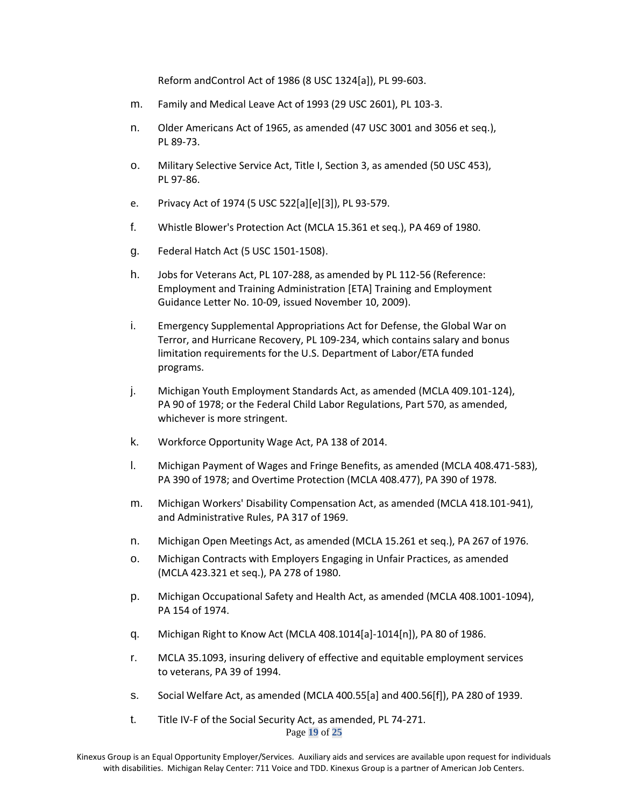Reform andControl Act of 1986 (8 USC 1324[a]), PL 99-603.

- m. Family and Medical Leave Act of 1993 (29 USC 2601), PL 103-3.
- n. Older Americans Act of 1965, as amended (47 USC 3001 and 3056 et seq.), PL 89-73.
- o. Military Selective Service Act, Title I, Section 3, as amended (50 USC 453), PL 97-86.
- e. Privacy Act of 1974 (5 USC 522[a][e][3]), PL 93-579.
- f. Whistle Blower's Protection Act (MCLA 15.361 et seq.), PA 469 of 1980.
- g. Federal Hatch Act (5 USC 1501-1508).
- h. Jobs for Veterans Act, PL 107-288, as amended by PL 112-56 (Reference: Employment and Training Administration [ETA] Training and Employment Guidance Letter No. 10-09, issued November 10, 2009).
- i. Emergency Supplemental Appropriations Act for Defense, the Global War on Terror, and Hurricane Recovery, PL 109-234, which contains salary and bonus limitation requirements for the U.S. Department of Labor/ETA funded programs.
- j. Michigan Youth Employment Standards Act, as amended (MCLA 409.101-124), PA 90 of 1978; or the Federal Child Labor Regulations, Part 570, as amended, whichever is more stringent.
- k. Workforce Opportunity Wage Act, PA 138 of 2014.
- l. Michigan Payment of Wages and Fringe Benefits, as amended (MCLA 408.471-583), PA 390 of 1978; and Overtime Protection (MCLA 408.477), PA 390 of 1978.
- m. Michigan Workers' Disability Compensation Act, as amended (MCLA 418.101-941), and Administrative Rules, PA 317 of 1969.
- n. Michigan Open Meetings Act, as amended (MCLA 15.261 et seq.), PA 267 of 1976.
- o. Michigan Contracts with Employers Engaging in Unfair Practices, as amended (MCLA 423.321 et seq.), PA 278 of 1980.
- p. Michigan Occupational Safety and Health Act, as amended (MCLA 408.1001-1094), PA 154 of 1974.
- q. Michigan Right to Know Act (MCLA 408.1014[a]-1014[n]), PA 80 of 1986.
- r. MCLA 35.1093, insuring delivery of effective and equitable employment services to veterans, PA 39 of 1994.
- s. Social Welfare Act, as amended (MCLA 400.55[a] and 400.56[f]), PA 280 of 1939.
- Page **19** of **25** t. Title IV-F of the Social Security Act, as amended, PL 74-271.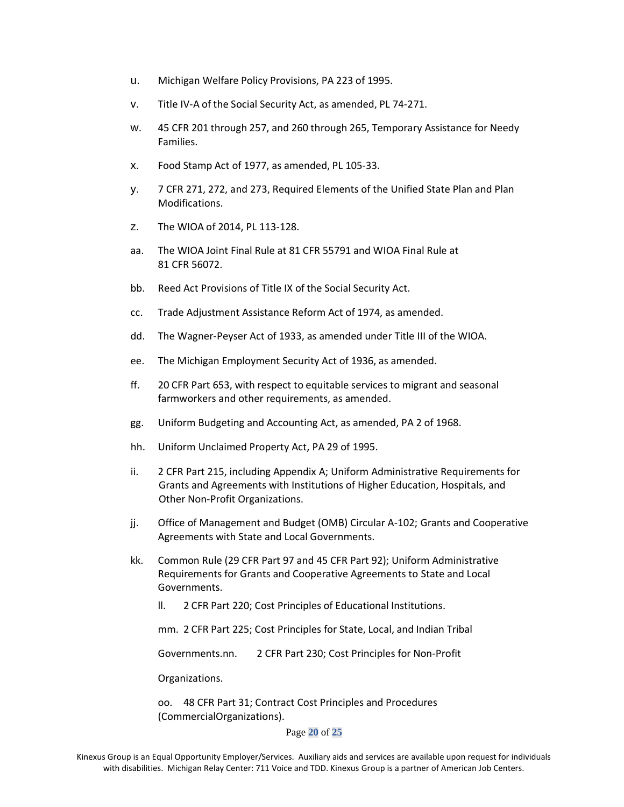- u. Michigan Welfare Policy Provisions, PA 223 of 1995.
- v. Title IV-A of the Social Security Act, as amended, PL 74-271.
- w. 45 CFR 201 through 257, and 260 through 265, Temporary Assistance for Needy Families.
- x. Food Stamp Act of 1977, as amended, PL 105-33.
- y. 7 CFR 271, 272, and 273, Required Elements of the Unified State Plan and Plan Modifications.
- z. The WIOA of 2014, PL 113-128.
- aa. The WIOA Joint Final Rule at 81 CFR 55791 and WIOA Final Rule at 81 CFR 56072.
- bb. Reed Act Provisions of Title IX of the Social Security Act.
- cc. Trade Adjustment Assistance Reform Act of 1974, as amended.
- dd. The Wagner-Peyser Act of 1933, as amended under Title III of the WIOA.
- ee. The Michigan Employment Security Act of 1936, as amended.
- ff. 20 CFR Part 653, with respect to equitable services to migrant and seasonal farmworkers and other requirements, as amended.
- gg. Uniform Budgeting and Accounting Act, as amended, PA 2 of 1968.
- hh. Uniform Unclaimed Property Act, PA 29 of 1995.
- ii. 2 CFR Part 215, including Appendix A; Uniform Administrative Requirements for Grants and Agreements with Institutions of Higher Education, Hospitals, and Other Non-Profit Organizations.
- jj. Office of Management and Budget (OMB) Circular A-102; Grants and Cooperative Agreements with State and Local Governments.
- kk. Common Rule (29 CFR Part 97 and 45 CFR Part 92); Uniform Administrative Requirements for Grants and Cooperative Agreements to State and Local Governments.
	- ll. 2 CFR Part 220; Cost Principles of Educational Institutions.
	- mm. 2 CFR Part 225; Cost Principles for State, Local, and Indian Tribal

Governments.nn. 2 CFR Part 230; Cost Principles for Non-Profit

Organizations.

oo. 48 CFR Part 31; Contract Cost Principles and Procedures (CommercialOrganizations).

Page **20** of **25**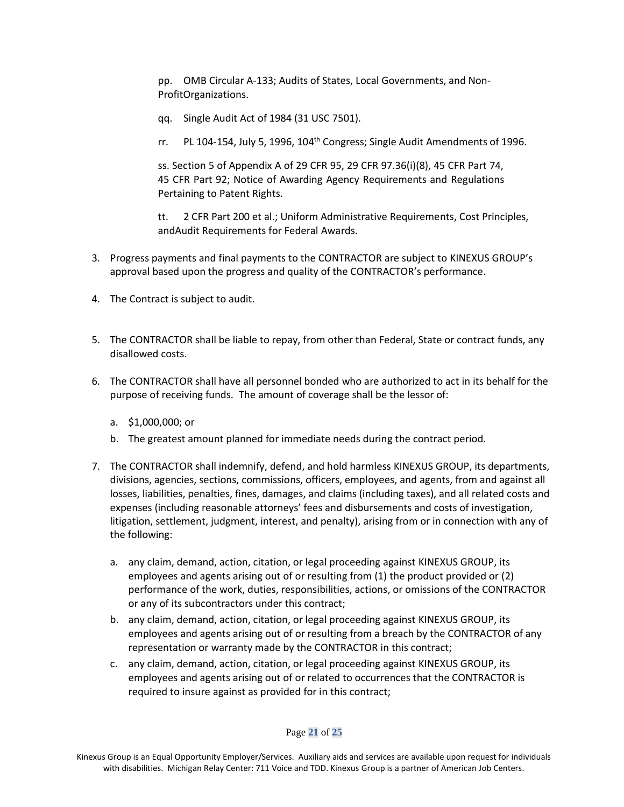pp. OMB Circular A-133; Audits of States, Local Governments, and Non-ProfitOrganizations.

- qq. Single Audit Act of 1984 (31 USC 7501).
- rr. PL 104-154, July 5, 1996, 104<sup>th</sup> Congress; Single Audit Amendments of 1996.

ss. Section 5 of Appendix A of 29 CFR 95, 29 CFR 97.36(i)(8), 45 CFR Part 74, 45 CFR Part 92; Notice of Awarding Agency Requirements and Regulations Pertaining to Patent Rights.

tt. 2 CFR Part 200 et al.; Uniform Administrative Requirements, Cost Principles, andAudit Requirements for Federal Awards.

- 3. Progress payments and final payments to the CONTRACTOR are subject to KINEXUS GROUP's approval based upon the progress and quality of the CONTRACTOR's performance.
- 4. The Contract is subject to audit.
- 5. The CONTRACTOR shall be liable to repay, from other than Federal, State or contract funds, any disallowed costs.
- 6. The CONTRACTOR shall have all personnel bonded who are authorized to act in its behalf for the purpose of receiving funds. The amount of coverage shall be the lessor of:
	- a. \$1,000,000; or
	- b. The greatest amount planned for immediate needs during the contract period.
- 7. The CONTRACTOR shall indemnify, defend, and hold harmless KINEXUS GROUP, its departments, divisions, agencies, sections, commissions, officers, employees, and agents, from and against all losses, liabilities, penalties, fines, damages, and claims (including taxes), and all related costs and expenses (including reasonable attorneys' fees and disbursements and costs of investigation, litigation, settlement, judgment, interest, and penalty), arising from or in connection with any of the following:
	- a. any claim, demand, action, citation, or legal proceeding against KINEXUS GROUP, its employees and agents arising out of or resulting from (1) the product provided or (2) performance of the work, duties, responsibilities, actions, or omissions of the CONTRACTOR or any of its subcontractors under this contract;
	- b. any claim, demand, action, citation, or legal proceeding against KINEXUS GROUP, its employees and agents arising out of or resulting from a breach by the CONTRACTOR of any representation or warranty made by the CONTRACTOR in this contract;
	- c. any claim, demand, action, citation, or legal proceeding against KINEXUS GROUP, its employees and agents arising out of or related to occurrences that the CONTRACTOR is required to insure against as provided for in this contract;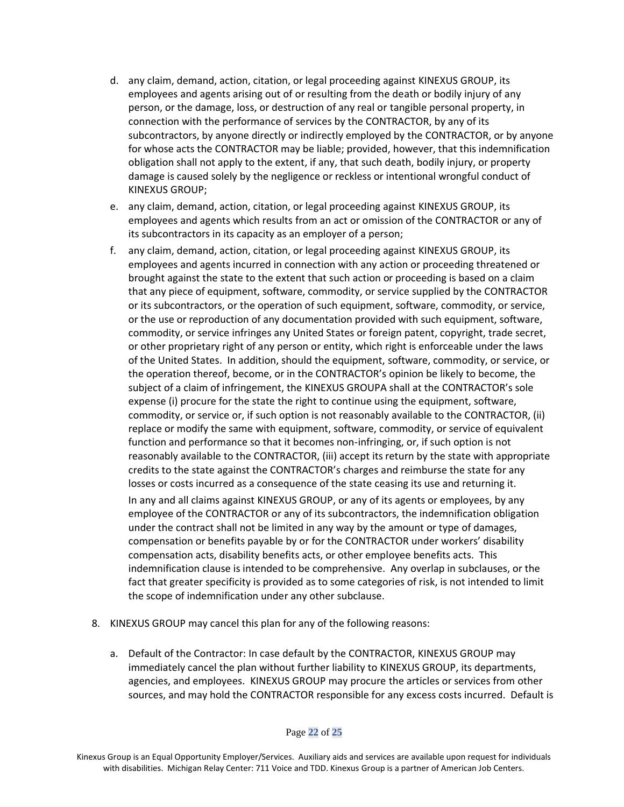- d. any claim, demand, action, citation, or legal proceeding against KINEXUS GROUP, its employees and agents arising out of or resulting from the death or bodily injury of any person, or the damage, loss, or destruction of any real or tangible personal property, in connection with the performance of services by the CONTRACTOR, by any of its subcontractors, by anyone directly or indirectly employed by the CONTRACTOR, or by anyone for whose acts the CONTRACTOR may be liable; provided, however, that this indemnification obligation shall not apply to the extent, if any, that such death, bodily injury, or property damage is caused solely by the negligence or reckless or intentional wrongful conduct of KINEXUS GROUP;
- e. any claim, demand, action, citation, or legal proceeding against KINEXUS GROUP, its employees and agents which results from an act or omission of the CONTRACTOR or any of its subcontractors in its capacity as an employer of a person;
- f. any claim, demand, action, citation, or legal proceeding against KINEXUS GROUP, its employees and agents incurred in connection with any action or proceeding threatened or brought against the state to the extent that such action or proceeding is based on a claim that any piece of equipment, software, commodity, or service supplied by the CONTRACTOR or its subcontractors, or the operation of such equipment, software, commodity, or service, or the use or reproduction of any documentation provided with such equipment, software, commodity, or service infringes any United States or foreign patent, copyright, trade secret, or other proprietary right of any person or entity, which right is enforceable under the laws of the United States. In addition, should the equipment, software, commodity, or service, or the operation thereof, become, or in the CONTRACTOR's opinion be likely to become, the subject of a claim of infringement, the KINEXUS GROUPA shall at the CONTRACTOR's sole expense (i) procure for the state the right to continue using the equipment, software, commodity, or service or, if such option is not reasonably available to the CONTRACTOR, (ii) replace or modify the same with equipment, software, commodity, or service of equivalent function and performance so that it becomes non-infringing, or, if such option is not reasonably available to the CONTRACTOR, (iii) accept its return by the state with appropriate credits to the state against the CONTRACTOR's charges and reimburse the state for any losses or costs incurred as a consequence of the state ceasing its use and returning it. In any and all claims against KINEXUS GROUP, or any of its agents or employees, by any employee of the CONTRACTOR or any of its subcontractors, the indemnification obligation under the contract shall not be limited in any way by the amount or type of damages, compensation or benefits payable by or for the CONTRACTOR under workers' disability compensation acts, disability benefits acts, or other employee benefits acts. This indemnification clause is intended to be comprehensive. Any overlap in subclauses, or the fact that greater specificity is provided as to some categories of risk, is not intended to limit the scope of indemnification under any other subclause.
- 8. KINEXUS GROUP may cancel this plan for any of the following reasons:
	- a. Default of the Contractor: In case default by the CONTRACTOR, KINEXUS GROUP may immediately cancel the plan without further liability to KINEXUS GROUP, its departments, agencies, and employees. KINEXUS GROUP may procure the articles or services from other sources, and may hold the CONTRACTOR responsible for any excess costs incurred. Default is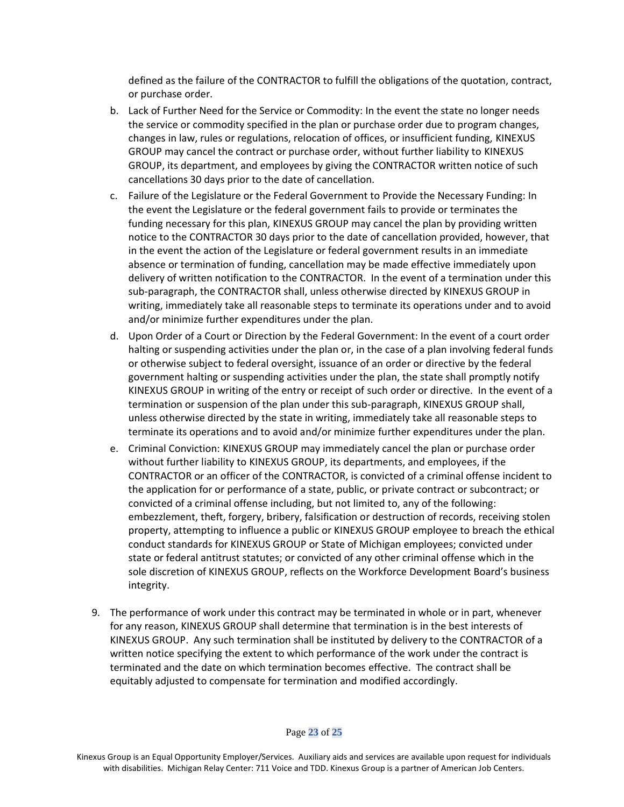defined as the failure of the CONTRACTOR to fulfill the obligations of the quotation, contract, or purchase order.

- b. Lack of Further Need for the Service or Commodity: In the event the state no longer needs the service or commodity specified in the plan or purchase order due to program changes, changes in law, rules or regulations, relocation of offices, or insufficient funding, KINEXUS GROUP may cancel the contract or purchase order, without further liability to KINEXUS GROUP, its department, and employees by giving the CONTRACTOR written notice of such cancellations 30 days prior to the date of cancellation.
- c. Failure of the Legislature or the Federal Government to Provide the Necessary Funding: In the event the Legislature or the federal government fails to provide or terminates the funding necessary for this plan, KINEXUS GROUP may cancel the plan by providing written notice to the CONTRACTOR 30 days prior to the date of cancellation provided, however, that in the event the action of the Legislature or federal government results in an immediate absence or termination of funding, cancellation may be made effective immediately upon delivery of written notification to the CONTRACTOR. In the event of a termination under this sub-paragraph, the CONTRACTOR shall, unless otherwise directed by KINEXUS GROUP in writing, immediately take all reasonable steps to terminate its operations under and to avoid and/or minimize further expenditures under the plan.
- d. Upon Order of a Court or Direction by the Federal Government: In the event of a court order halting or suspending activities under the plan or, in the case of a plan involving federal funds or otherwise subject to federal oversight, issuance of an order or directive by the federal government halting or suspending activities under the plan, the state shall promptly notify KINEXUS GROUP in writing of the entry or receipt of such order or directive. In the event of a termination or suspension of the plan under this sub-paragraph, KINEXUS GROUP shall, unless otherwise directed by the state in writing, immediately take all reasonable steps to terminate its operations and to avoid and/or minimize further expenditures under the plan.
- e. Criminal Conviction: KINEXUS GROUP may immediately cancel the plan or purchase order without further liability to KINEXUS GROUP, its departments, and employees, if the CONTRACTOR or an officer of the CONTRACTOR, is convicted of a criminal offense incident to the application for or performance of a state, public, or private contract or subcontract; or convicted of a criminal offense including, but not limited to, any of the following: embezzlement, theft, forgery, bribery, falsification or destruction of records, receiving stolen property, attempting to influence a public or KINEXUS GROUP employee to breach the ethical conduct standards for KINEXUS GROUP or State of Michigan employees; convicted under state or federal antitrust statutes; or convicted of any other criminal offense which in the sole discretion of KINEXUS GROUP, reflects on the Workforce Development Board's business integrity.
- 9. The performance of work under this contract may be terminated in whole or in part, whenever for any reason, KINEXUS GROUP shall determine that termination is in the best interests of KINEXUS GROUP. Any such termination shall be instituted by delivery to the CONTRACTOR of a written notice specifying the extent to which performance of the work under the contract is terminated and the date on which termination becomes effective. The contract shall be equitably adjusted to compensate for termination and modified accordingly.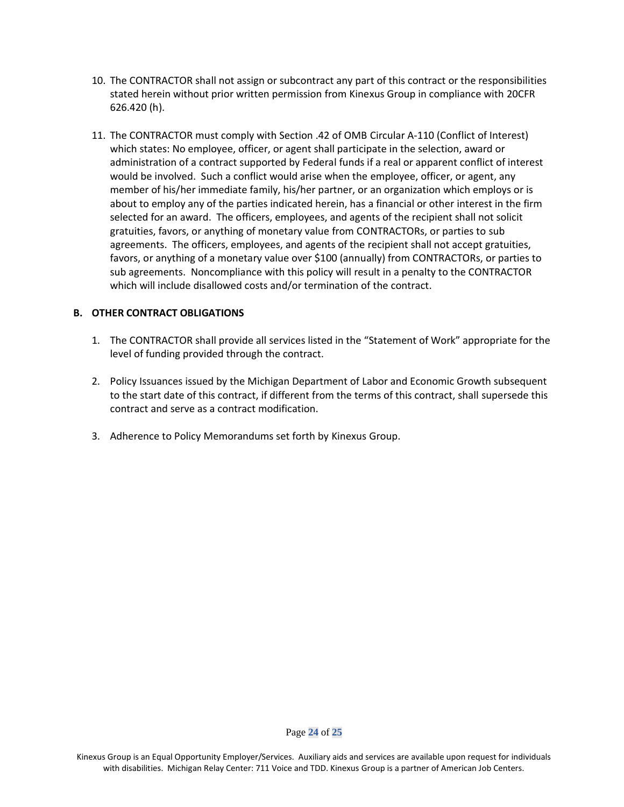- 10. The CONTRACTOR shall not assign or subcontract any part of this contract or the responsibilities stated herein without prior written permission from Kinexus Group in compliance with 20CFR 626.420 (h).
- 11. The CONTRACTOR must comply with Section .42 of OMB Circular A-110 (Conflict of Interest) which states: No employee, officer, or agent shall participate in the selection, award or administration of a contract supported by Federal funds if a real or apparent conflict of interest would be involved. Such a conflict would arise when the employee, officer, or agent, any member of his/her immediate family, his/her partner, or an organization which employs or is about to employ any of the parties indicated herein, has a financial or other interest in the firm selected for an award. The officers, employees, and agents of the recipient shall not solicit gratuities, favors, or anything of monetary value from CONTRACTORs, or parties to sub agreements. The officers, employees, and agents of the recipient shall not accept gratuities, favors, or anything of a monetary value over \$100 (annually) from CONTRACTORs, or parties to sub agreements. Noncompliance with this policy will result in a penalty to the CONTRACTOR which will include disallowed costs and/or termination of the contract.

### **B. OTHER CONTRACT OBLIGATIONS**

- 1. The CONTRACTOR shall provide all services listed in the "Statement of Work" appropriate for the level of funding provided through the contract.
- 2. Policy Issuances issued by the Michigan Department of Labor and Economic Growth subsequent to the start date of this contract, if different from the terms of this contract, shall supersede this contract and serve as a contract modification.
- 3. Adherence to Policy Memorandums set forth by Kinexus Group.